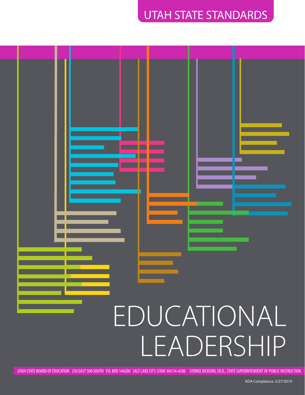### UTAH STATE STANDARDS



UTAH STATE BOARD OF EDUCATION 250 EAST 500 SOUTH P.O. BOX 144200 SALT LAKE CITY, UTAH 84114-4200 SYDNEE DICKSON, ED.D., STATE SUPERINTENDENT OF PUBLIC INSTRUCTION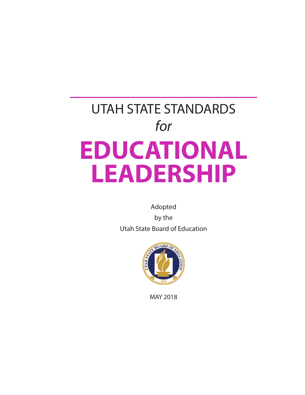# UTAH STATE STANDARDS *for* **EDUCATIONAL LEADERSHIP**

Adopted

by the Utah State Board of Education



MAY 2018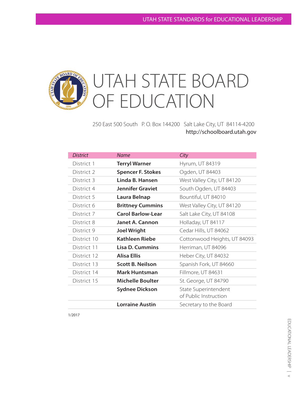### UTAH STATE BOARD  $OARD$ OF EDUCATION

250 East 500 South P. O. Box 144200 Salt Lake City, UT 84114-4200 http://schoolboard.utah.gov

| <b>District</b> | <b>Name</b>              | City                                          |
|-----------------|--------------------------|-----------------------------------------------|
| District 1      | <b>Terryl Warner</b>     | Hyrum, UT 84319                               |
| District 2      | <b>Spencer F. Stokes</b> | Ogden, UT 84403                               |
| District 3      | Linda B. Hansen          | West Valley City, UT 84120                    |
| District 4      | <b>Jennifer Graviet</b>  | South Ogden, UT 84403                         |
| District 5      | Laura Belnap             | Bountiful, UT 84010                           |
| District 6      | <b>Brittney Cummins</b>  | West Valley City, UT 84120                    |
| District 7      | <b>Carol Barlow-Lear</b> | Salt Lake City, UT 84108                      |
| District 8      | Janet A. Cannon          | Holladay, UT 84117                            |
| District 9      | <b>Joel Wright</b>       | Cedar Hills, UT 84062                         |
| District 10     | Kathleen Riebe           | Cottonwood Heights, UT 84093                  |
| District 11     | <b>Lisa D. Cummins</b>   | Herriman, UT 84096                            |
| District 12     | <b>Alisa Ellis</b>       | Heber City, UT 84032                          |
| District 13     | <b>Scott B. Neilson</b>  | Spanish Fork, UT 84660                        |
| District 14     | <b>Mark Huntsman</b>     | Fillmore, UT 84631                            |
| District 15     | <b>Michelle Boulter</b>  | St. George, UT 84790                          |
|                 | <b>Sydnee Dickson</b>    | State Superintendent<br>of Public Instruction |
|                 | <b>Lorraine Austin</b>   | Secretary to the Board                        |

1/2017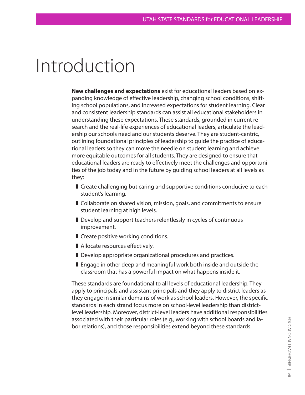## Introduction

**New challenges and expectations** exist for educational leaders based on expanding knowledge of effective leadership, changing school conditions, shifting school populations, and increased expectations for student learning. Clear and consistent leadership standards can assist all educational stakeholders in understanding these expectations. These standards, grounded in current research and the real-life experiences of educational leaders, articulate the leadership our schools need and our students deserve. They are student-centric, outlining foundational principles of leadership to guide the practice of educational leaders so they can move the needle on student learning and achieve more equitable outcomes for all students. They are designed to ensure that educational leaders are ready to effectively meet the challenges and opportunities of the job today and in the future by guiding school leaders at all levels as they:

- Create challenging but caring and supportive conditions conducive to each student's learning.
- ] Collaborate on shared vision, mission, goals, and commitments to ensure student learning at high levels.
- Develop and support teachers relentlessly in cycles of continuous improvement.
- **I** Create positive working conditions.
- Allocate resources effectively.
- Develop appropriate organizational procedures and practices.
- **E** Engage in other deep and meaningful work both inside and outside the classroom that has a powerful impact on what happens inside it.

These standards are foundational to all levels of educational leadership. They apply to principals and assistant principals and they apply to district leaders as they engage in similar domains of work as school leaders. However, the specific standards in each strand focus more on school-level leadership than districtlevel leadership. Moreover, district-level leaders have additional responsibilities associated with their particular roles (e.g., working with school boards and labor relations), and those responsibilities extend beyond these standards.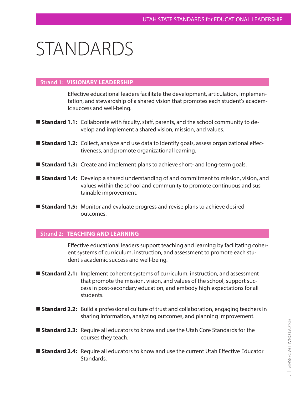## STANDARDS

#### **Strand 1: VISIONARY LEADERSHIP**

Effective educational leaders facilitate the development, articulation, implementation, and stewardship of a shared vision that promotes each student's academic success and well-being.

- **Standard 1.1:** Collaborate with faculty, staff, parents, and the school community to develop and implement a shared vision, mission, and values.
- **Standard 1.2:** Collect, analyze and use data to identify goals, assess organizational effectiveness, and promote organizational learning.
- **Standard 1.3:** Create and implement plans to achieve short- and long-term goals.
- **Standard 1.4:** Develop a shared understanding of and commitment to mission, vision, and values within the school and community to promote continuous and sustainable improvement.
- **Standard 1.5:** Monitor and evaluate progress and revise plans to achieve desired outcomes.

#### **Strand 2: TEACHING AND LEARNING**

Effective educational leaders support teaching and learning by facilitating coherent systems of curriculum, instruction, and assessment to promote each student's academic success and well-being.

- **Standard 2.1:** Implement coherent systems of curriculum, instruction, and assessment that promote the mission, vision, and values of the school, support success in post-secondary education, and embody high expectations for all students.
- **Standard 2.2:** Build a professional culture of trust and collaboration, engaging teachers in sharing information, analyzing outcomes, and planning improvement.
- **Standard 2.3:** Require all educators to know and use the Utah Core Standards for the courses they teach.
- **Standard 2.4:** Require all educators to know and use the current Utah Effective Educator Standards.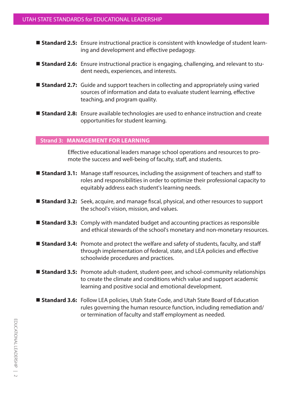- **Standard 2.5:** Ensure instructional practice is consistent with knowledge of student learning and development and effective pedagogy.
- **Standard 2.6:** Ensure instructional practice is engaging, challenging, and relevant to student needs, experiences, and interests.
- **Standard 2.7:** Guide and support teachers in collecting and appropriately using varied sources of information and data to evaluate student learning, effective teaching, and program quality.
- **Standard 2.8:** Ensure available technologies are used to enhance instruction and create opportunities for student learning.

#### **Strand 3: MANAGEMENT FOR LEARNING**

Effective educational leaders manage school operations and resources to promote the success and well-being of faculty, staff, and students.

- **Standard 3.1:** Manage staff resources, including the assignment of teachers and staff to roles and responsibilities in order to optimize their professional capacity to equitably address each student's learning needs.
- **Standard 3.2:** Seek, acquire, and manage fiscal, physical, and other resources to support the school's vision, mission, and values.
- **Standard 3.3:** Comply with mandated budget and accounting practices as responsible and ethical stewards of the school's monetary and non-monetary resources.
- **Standard 3.4:** Promote and protect the welfare and safety of students, faculty, and staff through implementation of federal, state, and LEA policies and effective schoolwide procedures and practices.
- **Standard 3.5:** Promote adult-student, student-peer, and school-community relationships to create the climate and conditions which value and support academic learning and positive social and emotional development.
- **Standard 3.6:** Follow LEA policies, Utah State Code, and Utah State Board of Education rules governing the human resource function, including remediation and/ or termination of faculty and staff employment as needed.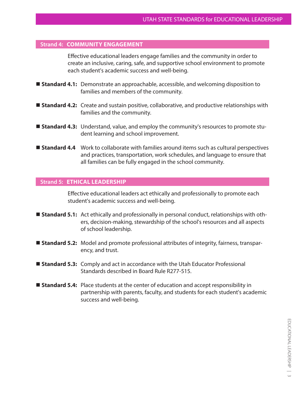#### **Strand 4: COMMUNITY ENGAGEMENT**

Effective educational leaders engage families and the community in order to create an inclusive, caring, safe, and supportive school environment to promote each student's academic success and well-being.

- **Standard 4.1:** Demonstrate an approachable, accessible, and welcoming disposition to families and members of the community.
- **Standard 4.2:** Create and sustain positive, collaborative, and productive relationships with families and the community.
- **Standard 4.3:** Understand, value, and employ the community's resources to promote student learning and school improvement.
- **Standard 4.4** Work to collaborate with families around items such as cultural perspectives and practices, transportation, work schedules, and language to ensure that all families can be fully engaged in the school community.

#### **Strand 5: ETHICAL LEADERSHIP**

Effective educational leaders act ethically and professionally to promote each student's academic success and well-being.

- **Standard 5.1:** Act ethically and professionally in personal conduct, relationships with others, decision-making, stewardship of the school's resources and all aspects of school leadership.
- **Standard 5.2:** Model and promote professional attributes of integrity, fairness, transparency, and trust.
- **Standard 5.3:** Comply and act in accordance with the Utah Educator Professional Standards described in Board Rule R277-515.
- **Standard 5.4:** Place students at the center of education and accept responsibility in partnership with parents, faculty, and students for each student's academic success and well-being.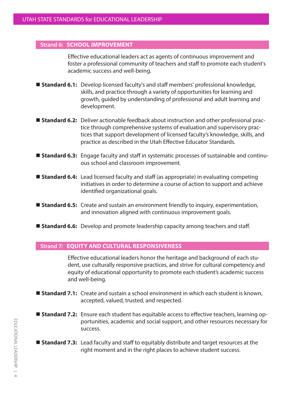#### **Strand 6: SCHOOL IMPROVEMENT**

Effective educational leaders act as agents of continuous improvement and foster a professional community of teachers and staff to promote each student's academic success and well-being.

- **Standard 6.1:** Develop licensed faculty's and staff members' professional knowledge, skills, and practice through a variety of opportunities for learning and growth, guided by understanding of professional and adult learning and development.
- **Standard 6.2:** Deliver actionable feedback about instruction and other professional practice through comprehensive systems of evaluation and supervisory practices that support development of licensed faculty's knowledge, skills, and practice as described in the Utah Effective Educator Standards.
- **Standard 6.3:** Engage faculty and staff in systematic processes of sustainable and continuous school and classroom improvement.
- **Standard 6.4:** Lead licensed faculty and staff (as appropriate) in evaluating competing initiatives in order to determine a course of action to support and achieve identified organizational goals.
- **Standard 6.5:** Create and sustain an environment friendly to inquiry, experimentation, and innovation aligned with continuous improvement goals.
- **Standard 6.6:** Develop and promote leadership capacity among teachers and staff.

#### **Strand 7: EQUITY AND CULTURAL RESPONSIVENESS**

Effective educational leaders honor the heritage and background of each student, use culturally responsive practices, and strive for cultural competency and equity of educational opportunity to promote each student's academic success and well-being.

- **Standard 7.1:** Create and sustain a school environment in which each student is known, accepted, valued, trusted, and respected.
- **Standard 7.2:** Ensure each student has equitable access to effective teachers, learning opportunities, academic and social support, and other resources necessary for success.
- **Standard 7.3:** Lead faculty and staff to equitably distribute and target resources at the right moment and in the right places to achieve student success.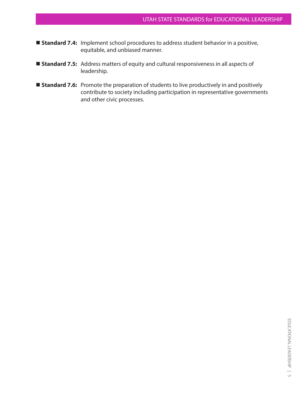- **Standard 7.4:** Implement school procedures to address student behavior in a positive, equitable, and unbiased manner.
- **Standard 7.5:** Address matters of equity and cultural responsiveness in all aspects of leadership.
- **Standard 7.6:** Promote the preparation of students to live productively in and positively contribute to society including participation in representative governments and other civic processes.